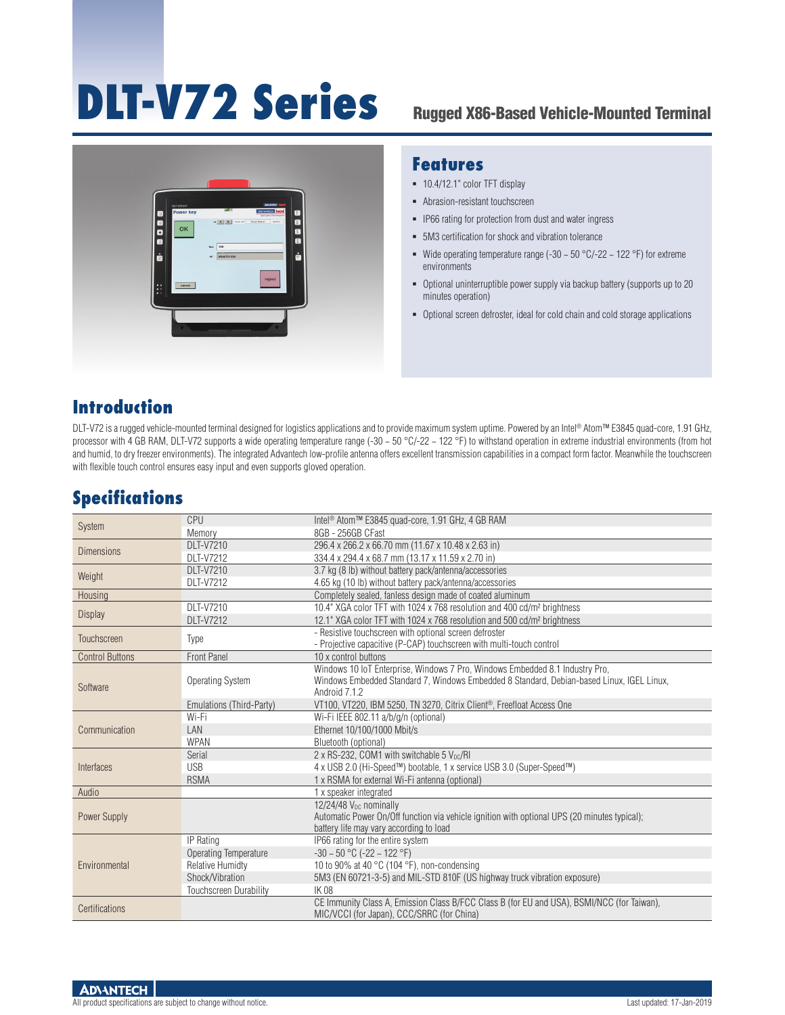# **DLT-V72 Series** Rugged X86-Based Vehicle-Mounted Terminal



#### **Features**

- 10.4/12.1" color TFT display
- Abrasion-resistant touchscreen
- **-** IP66 rating for protection from dust and water ingress
- 5M3 certification for shock and vibration tolerance
- Wide operating temperature range (-30  $\sim$  50 °C/-22  $\sim$  122 °F) for extreme environments
- Optional uninterruptible power supply via backup battery (supports up to 20 minutes operation)
- Optional screen defroster, ideal for cold chain and cold storage applications

#### **Introduction**

DLT-V72 is a rugged vehicle-mounted terminal designed for logistics applications and to provide maximum system uptime. Powered by an Intel® Atom™ E3845 quad-core, 1.91 GHz, processor with 4 GB RAM, DLT-V72 supports a wide operating temperature range (-30 ~ 50 °C/-22 ~ 122 °F) to withstand operation in extreme industrial environments (from hot and humid, to dry freezer environments). The integrated Advantech low-profile antenna offers excellent transmission capabilities in a compact form factor. Meanwhile the touchscreen with flexible touch control ensures easy input and even supports gloved operation.

#### **Specifications**

| System                 | CPU                           | Intel <sup>®</sup> Atom™ E3845 quad-core, 1.91 GHz, 4 GB RAM                                 |  |  |  |
|------------------------|-------------------------------|----------------------------------------------------------------------------------------------|--|--|--|
|                        | Memory                        | 8GB - 256GB CFast                                                                            |  |  |  |
| <b>Dimensions</b>      | <b>DLT-V7210</b>              | 296.4 x 266.2 x 66.70 mm (11.67 x 10.48 x 2.63 in)                                           |  |  |  |
|                        | <b>DLT-V7212</b>              | 334.4 x 294.4 x 68.7 mm (13.17 x 11.59 x 2.70 in)                                            |  |  |  |
| Weight                 | <b>DLT-V7210</b>              | 3.7 kg (8 lb) without battery pack/antenna/accessories                                       |  |  |  |
|                        | <b>DLT-V7212</b>              | 4.65 kg (10 lb) without battery pack/antenna/accessories                                     |  |  |  |
| Housing                |                               | Completely sealed, fanless design made of coated aluminum                                    |  |  |  |
| <b>Display</b>         | DLT-V7210                     | 10.4" XGA color TFT with 1024 x 768 resolution and 400 cd/m <sup>2</sup> brightness          |  |  |  |
|                        | <b>DLT-V7212</b>              | 12.1" XGA color TFT with 1024 x 768 resolution and 500 cd/m <sup>2</sup> brightness          |  |  |  |
| Touchscreen            |                               | - Resistive touchscreen with optional screen defroster                                       |  |  |  |
|                        | Type                          | - Projective capacitive (P-CAP) touchscreen with multi-touch control                         |  |  |  |
| <b>Control Buttons</b> | <b>Front Panel</b>            | 10 x control buttons                                                                         |  |  |  |
| Software               | <b>Operating System</b>       | Windows 10 IoT Enterprise, Windows 7 Pro, Windows Embedded 8.1 Industry Pro,                 |  |  |  |
|                        |                               | Windows Embedded Standard 7, Windows Embedded 8 Standard, Debian-based Linux, IGEL Linux,    |  |  |  |
|                        |                               | Android 7.1.2                                                                                |  |  |  |
|                        | Emulations (Third-Party)      | VT100, VT220, IBM 5250, TN 3270, Citrix Client <sup>®</sup> , Freefloat Access One           |  |  |  |
| Communication          | Wi-Fi                         | Wi-Fi IEEE 802.11 a/b/g/n (optional)                                                         |  |  |  |
|                        | LAN                           | Ethernet 10/100/1000 Mbit/s                                                                  |  |  |  |
|                        | <b>WPAN</b>                   | Bluetooth (optional)                                                                         |  |  |  |
| Interfaces             | Serial                        | 2 x RS-232, COM1 with switchable 5 V <sub>pc</sub> /RI                                       |  |  |  |
|                        | <b>USB</b>                    | 4 x USB 2.0 (Hi-Speed™) bootable, 1 x service USB 3.0 (Super-Speed™)                         |  |  |  |
|                        | <b>RSMA</b>                   | 1 x RSMA for external Wi-Fi antenna (optional)                                               |  |  |  |
| Audio                  |                               | 1 x speaker integrated                                                                       |  |  |  |
| Power Supply           |                               | 12/24/48 V <sub>pc</sub> nominally                                                           |  |  |  |
|                        |                               | Automatic Power On/Off function via vehicle ignition with optional UPS (20 minutes typical); |  |  |  |
|                        |                               | battery life may vary according to load                                                      |  |  |  |
| Environmental          | IP Rating                     | IP66 rating for the entire system                                                            |  |  |  |
|                        | <b>Operating Temperature</b>  | $-30 \sim 50$ °C ( $-22 \sim 122$ °F)                                                        |  |  |  |
|                        | <b>Relative Humidty</b>       | 10 to 90% at 40 $^{\circ}$ C (104 $^{\circ}$ F), non-condensing                              |  |  |  |
|                        | Shock/Vibration               | 5M3 (EN 60721-3-5) and MIL-STD 810F (US highway truck vibration exposure)                    |  |  |  |
|                        | <b>Touchscreen Durability</b> | <b>IK 08</b>                                                                                 |  |  |  |
| Certifications         |                               | CE Immunity Class A, Emission Class B/FCC Class B (for EU and USA), BSMI/NCC (for Taiwan),   |  |  |  |
|                        |                               | MIC/VCCI (for Japan), CCC/SRRC (for China)                                                   |  |  |  |